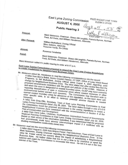## East Lyme Zoning Commission **AUGUST 4, 2005**

FILED IN EAST LYME TOWN **CLERK'S OFFICE** 

lug 12 20 05

**Public Hearing 3** 

Present:

Also Present:

Mark Nickerson, Chairman, Shawn McLaughlin, Pamela Byrnes, Norman Peck, Ed Gada, and William Henderson, Alternate.

William Mulholland, Zoning Official Marc Salerno, Alternate Rosanne Hardy, Ex-Officio

Absent:

Rosanna Carabelas

Panel:

Mark Nickerson, Chairman, Shawn McLaughlin, Pamela Byrnes, Norman Peck, Ed Gada, and William Henderson, Alternate.

Mark Nickerson called the public hearing to order at 9:17 p.m.

East Lyme Zoning Commission proposal to amend the East Lyme Zoning Regulations to create regulations for Neighborhood Business Zones.

Mr. Nickerson asked Mr. Henderson to read the following correspondence into the record: A letter from Marcy Balint, Senior Coastal Planner, CT DEP, Office of Long Island Sound Programs, to Bill Mulholland, Zoning Official dated August 4, 2005 regarding zone change for Neighborhood Business Zone. The letter states that after review they find the proposed amendments consistent with the goals and policies of the CCMA. However, if and when this zone is designated in coastal boundary areas, OLISP may have concerns regarding intensification of uses in residential areas where coastal resources or other environmental factors warrant such concerns. The Commission may therefore wish to exempt coastal boundary areas for allowance of this regulation, as has been done with other specific uses, in an effort to minimize potential adverse impacts to coastal resources.

A letter from Greg Ellis, Secretary, Town of East Lyme Planning Commission to East Lyme Zoning Commission dated July 26, 2005. The letter states through a vote of 5-0-0 the Commission found the proposed amendment to the zoning regulations to create a Neighborhood Eusiness Zone consistent with the recommendation in Section 4 of the A letter from Gene Lohrs, Chairman, Southeastern Connecticut Council of Governments

Regional Planning Commission to East Lyme Zoning Commission dated July 22, 2005. Based on their review of the information submitted, it was determined that the proposed text amendments could have adverse inter-municipal impact if it conflicted with an

Mr. Nickerson read into the record the following correspondence:

A letter dated August 4, 2005 from Wayne Fraser, First Selectman, Town of East Lyme to Mark Nickerson, Zoning Chairman regarding the Neighborhood Business Zone. In the letter Mr. Fraser voiced his concern about the impact of establishing a Neighborhood Business Zone. He further states that this is not a time to be restrictive or upset the balance and urged the Commission to reconsider this issue. He felt it is not in the best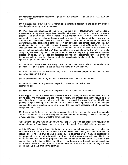Mr. Nickerson noted forthe record the legal ad was run properly in The Day on July 22,2005 and August 1, 2005.

Mr. Nickerson stated that this was a Commission-generated application and asked Mr. Peck to give the public a synopsis of the proposal.

Mr. Peck said that approximately five years ago the Plan of Development recommended <sup>a</sup> transitional zone to prevent people living in residential zones to be right next door to a business or factory. This zone would create a buffer. A sub-committee was formed after much public comment in a proactive action and came up with a proposal. He also noted that many towns in Southeastern Connecticut have this type of zone. There are many residential areas in commercial zones. This zone is defined as "A highly developed residential district with light, lowprofile small business uses, which by way of physical appearance and traffic production blend in with the residential atmosphere. This zone is intended to be a transitional zone between <sup>a</sup> commercial and residential districts." Such permitted uses are single family, two family, art studio and gallery and accessory uses. The special permit uses are antique shop, three and four family, professional office, day care, bed and breakfast, and mixed use/residential/office. Mr. Peck said the sub-committee chose to just come up with the regulation first and at a later time designate the specific neighborhoods in the zone.

Mr. Nickerson noted there are many neighborhoods that would allow commercial zone businesses. This is a zone that can be used and make more of a balance.

Mr. Peck said the sub-committee was very careful not to devalue properties and the proposed uses would support this area.

Mr. Henderson thanked Ms. Byrnes and Mr. Peck for all their work on this proposal.

Mr. Nickerson called for anyone from the public to speak for the application-Hearing no one-

Mr. Nickerson called for anyone from the public to speak against the application-

Andy Pappas, 11 Morton Street, Niantic recognized the difficulty of the sub-committee's mission but he asked the Commission to table the application. Mr. Pappas said there should be clear zone lines between commercial and residential. He noted that doctor's office will still have parking lot lights shining on residential properties and it will bring more traffic. Mr. Pappas suggested instead of creating a new zone to redo the regulations especially with all the changes and growth in this Town.

Mr. Peck noted for the record that the sub-committee's intent was not to expand commercial zones. The intent is to take an existing commercial zone and de-intensify it. This will not change a residential zone it will only effect the commercial zone.

Athena Cone, 21 Lake Avenue agreed with Mr. Pappas. She feels this application should not be approved and the Commission should go back and fine tune it. She feels it is too ambiguous.

J. Robert Pfanner, 2 Ferro Court, Niantic lives in an area that is being discussed. He noted that he thought the R-10 zone was created to be the buffer. By creating this new zone with the restricted uses, he feels it will devalue the property. He said there are not many big parcels left in this proposed zone, and with the restrictions it will not allow conforming buildings. He felt the footprint section included in the proposal is useless and should be eliminated. Mr. Pfanner also commented that the Zoning Official would be put on the spot with the architectural restrictions. Mr. Pfanner asked that the Commission re-examine this proposal and when redoing it involve people that live in this area on the committee.

2